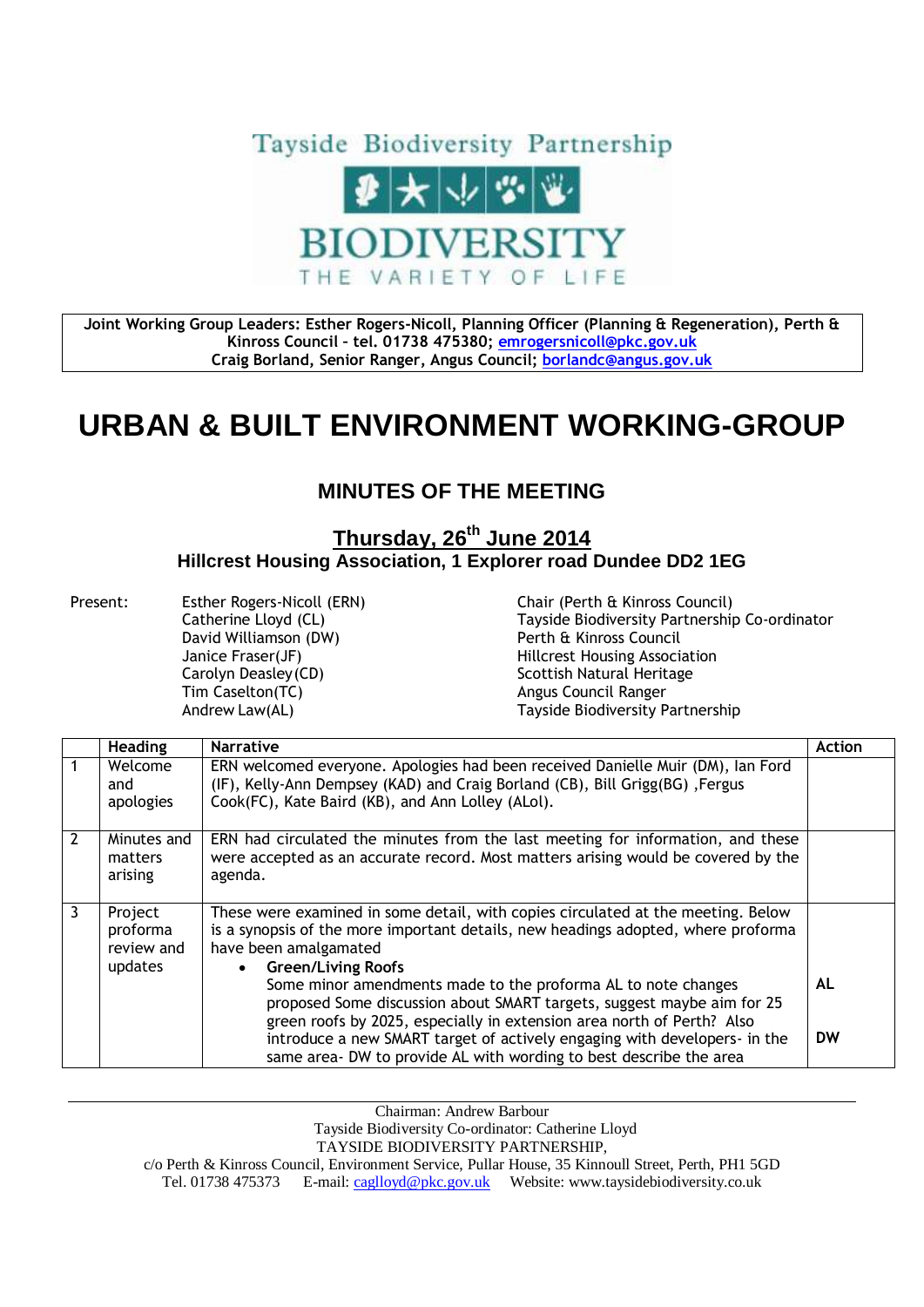

**Joint Working Group Leaders: Esther Rogers-Nicoll, Planning Officer (Planning & Regeneration), Perth & Kinross Council – tel. 01738 475380; [emrogersnicoll@pkc.gov.uk](mailto:emrogersnicoll@pkc.gov.uk) Craig Borland, Senior Ranger, Angus Council; [borlandc@angus.gov.uk](mailto:borlandc@angus.gov.uk)**

## **URBAN & BUILT ENVIRONMENT WORKING-GROUP**

## **MINUTES OF THE MEETING**

## **Thursday, 26th June 2014 Hillcrest Housing Association, 1 Explorer road Dundee DD2 1EG**

Present: Esther Rogers-Nicoll (ERN) Chair (Perth & Kinross Council) David Williamson (DW) Perth & Kinross Council Carolyn Deasley (CD) Scottish Natural Heritage Tim Caselton(TC) and the Council Ranger Angus Council Ranger

Catherine Lloyd (CL) Tayside Biodiversity Partnership Co-ordinator Janice Fraser(JF) Hillcrest Housing Association Andrew Law(AL) Tayside Biodiversity Partnership

|                | <b>Heading</b>                               | <b>Narrative</b>                                                                                                                                                                                                            | <b>Action</b> |
|----------------|----------------------------------------------|-----------------------------------------------------------------------------------------------------------------------------------------------------------------------------------------------------------------------------|---------------|
|                | Welcome<br>and<br>apologies                  | ERN welcomed everyone. Apologies had been received Danielle Muir (DM), Ian Ford<br>(IF), Kelly-Ann Dempsey (KAD) and Craig Borland (CB), Bill Grigg(BG), Fergus<br>Cook(FC), Kate Baird (KB), and Ann Lolley (ALol).        |               |
| $\overline{2}$ | Minutes and<br>matters<br>arising            | ERN had circulated the minutes from the last meeting for information, and these<br>were accepted as an accurate record. Most matters arising would be covered by the<br>agenda.                                             |               |
| 3              | Project<br>proforma<br>review and<br>updates | These were examined in some detail, with copies circulated at the meeting. Below<br>is a synopsis of the more important details, new headings adopted, where proforma<br>have been amalgamated<br><b>Green/Living Roofs</b> |               |
|                |                                              | Some minor amendments made to the proforma AL to note changes<br>proposed Some discussion about SMART targets, suggest maybe aim for 25<br>green roofs by 2025, especially in extension area north of Perth? Also           | AL            |
|                |                                              | introduce a new SMART target of actively engaging with developers- in the<br>same area- DW to provide AL with wording to best describe the area                                                                             | <b>DW</b>     |

Chairman: Andrew Barbour

Tayside Biodiversity Co-ordinator: Catherine Lloyd

TAYSIDE BIODIVERSITY PARTNERSHIP,

c/o Perth & Kinross Council, Environment Service, Pullar House, 35 Kinnoull Street, Perth, PH1 5GD Tel. 01738 475373 E-mail[: caglloyd@pkc.gov.uk](mailto:caglloyd@pkc.gov.uk) Website: www.taysidebiodiversity.co.uk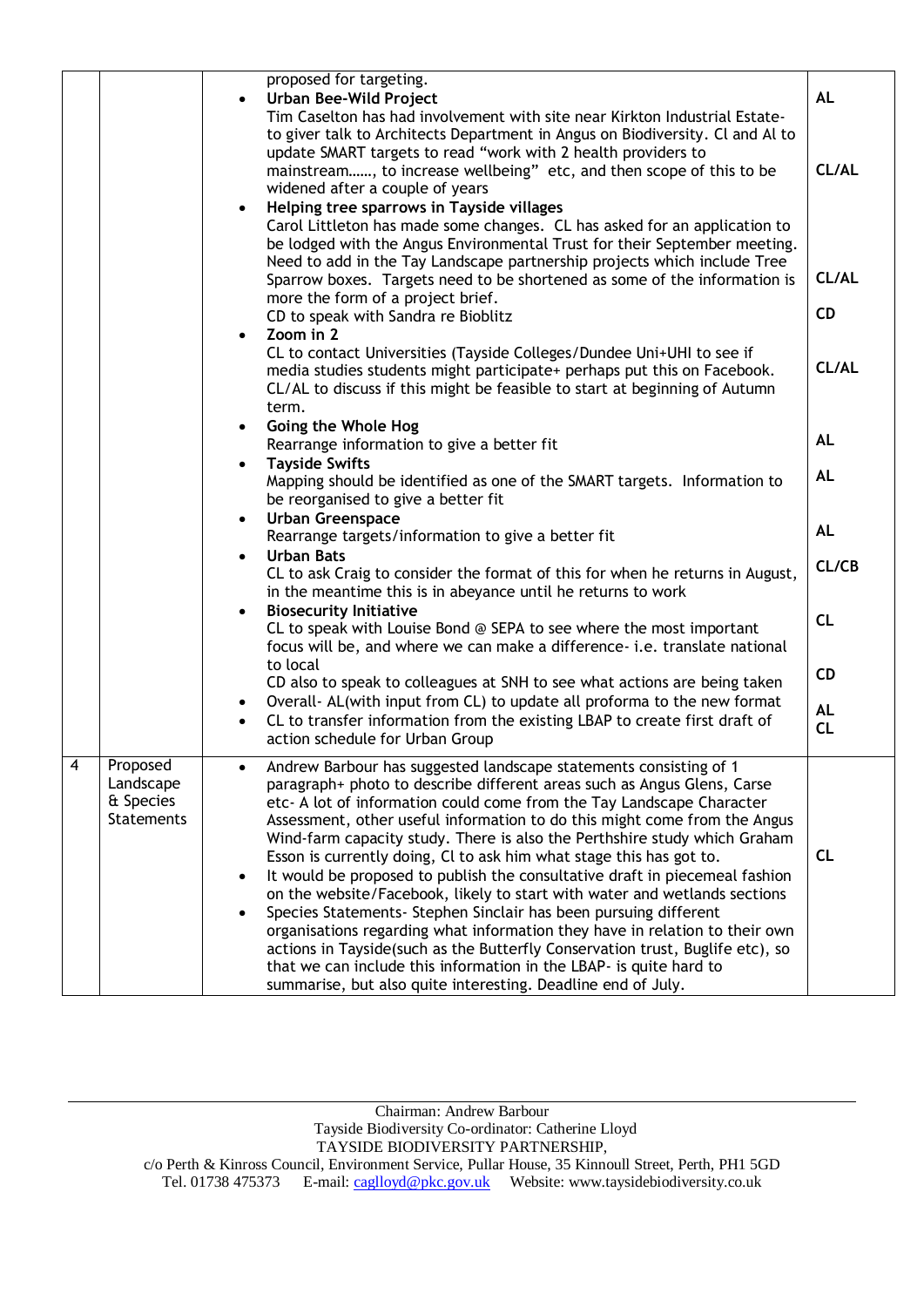|   |                                                         | proposed for targeting.<br><b>Urban Bee-Wild Project</b><br>$\bullet$<br>Tim Caselton has had involvement with site near Kirkton Industrial Estate-<br>to giver talk to Architects Department in Angus on Biodiversity. Cl and Al to<br>update SMART targets to read "work with 2 health providers to<br>mainstream, to increase wellbeing" etc, and then scope of this to be<br>widened after a couple of years<br>Helping tree sparrows in Tayside villages<br>Carol Littleton has made some changes. CL has asked for an application to<br>be lodged with the Angus Environmental Trust for their September meeting.<br>Need to add in the Tay Landscape partnership projects which include Tree<br>Sparrow boxes. Targets need to be shortened as some of the information is<br>more the form of a project brief.<br>CD to speak with Sandra re Bioblitz                                                                                                                                 | <b>AL</b><br>CL/AL<br>CL/AL<br><b>CD</b> |
|---|---------------------------------------------------------|----------------------------------------------------------------------------------------------------------------------------------------------------------------------------------------------------------------------------------------------------------------------------------------------------------------------------------------------------------------------------------------------------------------------------------------------------------------------------------------------------------------------------------------------------------------------------------------------------------------------------------------------------------------------------------------------------------------------------------------------------------------------------------------------------------------------------------------------------------------------------------------------------------------------------------------------------------------------------------------------|------------------------------------------|
|   |                                                         | Zoom in 2<br>$\bullet$<br>CL to contact Universities (Tayside Colleges/Dundee Uni+UHI to see if<br>media studies students might participate+ perhaps put this on Facebook.<br>CL/AL to discuss if this might be feasible to start at beginning of Autumn<br>term.                                                                                                                                                                                                                                                                                                                                                                                                                                                                                                                                                                                                                                                                                                                            | CL/AL                                    |
|   |                                                         | Going the Whole Hog<br>$\bullet$<br>Rearrange information to give a better fit                                                                                                                                                                                                                                                                                                                                                                                                                                                                                                                                                                                                                                                                                                                                                                                                                                                                                                               | <b>AL</b>                                |
|   |                                                         | <b>Tayside Swifts</b><br>$\bullet$<br>Mapping should be identified as one of the SMART targets. Information to<br>be reorganised to give a better fit                                                                                                                                                                                                                                                                                                                                                                                                                                                                                                                                                                                                                                                                                                                                                                                                                                        | AL                                       |
|   |                                                         | <b>Urban Greenspace</b><br>$\bullet$<br>Rearrange targets/information to give a better fit                                                                                                                                                                                                                                                                                                                                                                                                                                                                                                                                                                                                                                                                                                                                                                                                                                                                                                   | <b>AL</b>                                |
|   |                                                         | <b>Urban Bats</b><br>$\bullet$<br>CL to ask Craig to consider the format of this for when he returns in August,<br>in the meantime this is in abeyance until he returns to work                                                                                                                                                                                                                                                                                                                                                                                                                                                                                                                                                                                                                                                                                                                                                                                                              | CL/CB                                    |
|   |                                                         | <b>Biosecurity Initiative</b><br>$\bullet$<br>CL to speak with Louise Bond @ SEPA to see where the most important<br>focus will be, and where we can make a difference- i.e. translate national                                                                                                                                                                                                                                                                                                                                                                                                                                                                                                                                                                                                                                                                                                                                                                                              | CL                                       |
|   |                                                         | to local<br>CD also to speak to colleagues at SNH to see what actions are being taken                                                                                                                                                                                                                                                                                                                                                                                                                                                                                                                                                                                                                                                                                                                                                                                                                                                                                                        | <b>CD</b>                                |
|   |                                                         | Overall- AL(with input from CL) to update all proforma to the new format<br>$\bullet$<br>CL to transfer information from the existing LBAP to create first draft of<br>action schedule for Urban Group                                                                                                                                                                                                                                                                                                                                                                                                                                                                                                                                                                                                                                                                                                                                                                                       | <b>AL</b><br>CL                          |
| 4 | Proposed<br>Landscape<br>& Species<br><b>Statements</b> | Andrew Barbour has suggested landscape statements consisting of 1<br>paragraph+ photo to describe different areas such as Angus Glens, Carse<br>etc- A lot of information could come from the Tay Landscape Character<br>Assessment, other useful information to do this might come from the Angus<br>Wind-farm capacity study. There is also the Perthshire study which Graham<br>Esson is currently doing, CI to ask him what stage this has got to.<br>It would be proposed to publish the consultative draft in piecemeal fashion<br>on the website/Facebook, likely to start with water and wetlands sections<br>Species Statements- Stephen Sinclair has been pursuing different<br>organisations regarding what information they have in relation to their own<br>actions in Tayside(such as the Butterfly Conservation trust, Buglife etc), so<br>that we can include this information in the LBAP- is quite hard to<br>summarise, but also quite interesting. Deadline end of July. | CL                                       |